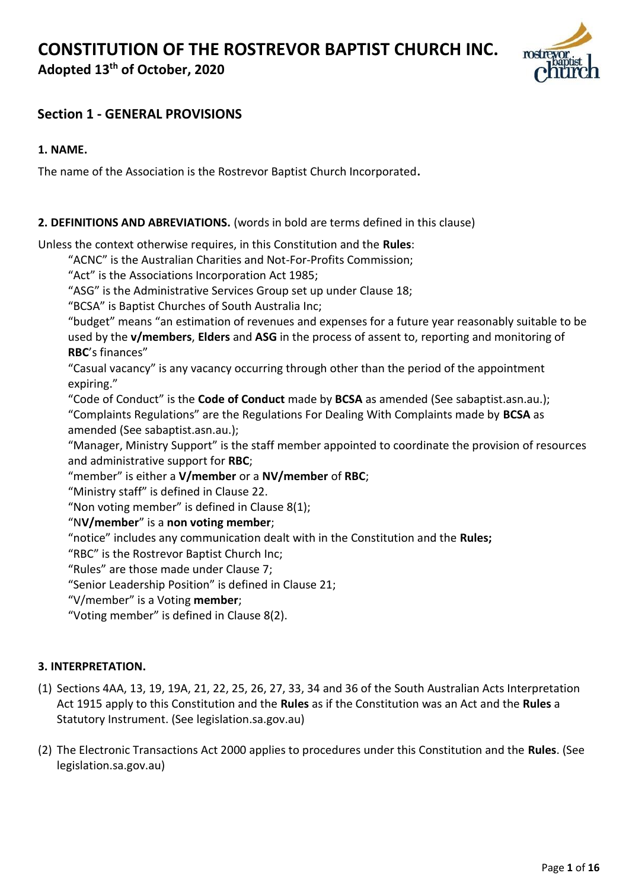## **CONSTITUTION OF THE ROSTREVOR BAPTIST CHURCH INC.**

**Adopted 13th of October, 2020**



### **Section 1 - GENERAL PROVISIONS**

#### **1. NAME.**

The name of the Association is the Rostrevor Baptist Church Incorporated**.** 

#### **2. DEFINITIONS AND ABREVIATIONS.** (words in bold are terms defined in this clause)

Unless the context otherwise requires, in this Constitution and the **Rules**:

- "ACNC" is the Australian Charities and Not-For-Profits Commission;
- "Act" is the Associations Incorporation Act 1985;

"ASG" is the Administrative Services Group set up under Clause 18;

"BCSA" is Baptist Churches of South Australia Inc;

"budget" means "an estimation of revenues and expenses for a future year reasonably suitable to be used by the **v/members**, **Elders** and **ASG** in the process of assent to, reporting and monitoring of **RBC**'s finances"

"Casual vacancy" is any vacancy occurring through other than the period of the appointment expiring."

"Code of Conduct" is the **Code of Conduct** made by **BCSA** as amended (See sabaptist.asn.au.); "Complaints Regulations" are the Regulations For Dealing With Complaints made by **BCSA** as amended (See sabaptist.asn.au.);

"Manager, Ministry Support" is the staff member appointed to coordinate the provision of resources and administrative support for **RBC**;

"member" is either a **V/member** or a **NV/member** of **RBC**;

"Ministry staff" is defined in Clause 22.

"Non voting member" is defined in Clause 8(1);

"N**V/member**" is a **non voting member**;

"notice" includes any communication dealt with in the Constitution and the **Rules;** 

"RBC" is the Rostrevor Baptist Church Inc;

"Rules" are those made under Clause 7;

"Senior Leadership Position" is defined in Clause 21;

"V/member" is a Voting **member**;

"Voting member" is defined in Clause 8(2).

#### **3. INTERPRETATION.**

- (1) Sections 4AA, 13, 19, 19A, 21, 22, 25, 26, 27, 33, 34 and 36 of the South Australian Acts Interpretation Act 1915 apply to this Constitution and the **Rules** as if the Constitution was an Act and the **Rules** a Statutory Instrument. (See legislation.sa.gov.au)
- (2) The Electronic Transactions Act 2000 applies to procedures under this Constitution and the **Rules**. (See legislation.sa.gov.au)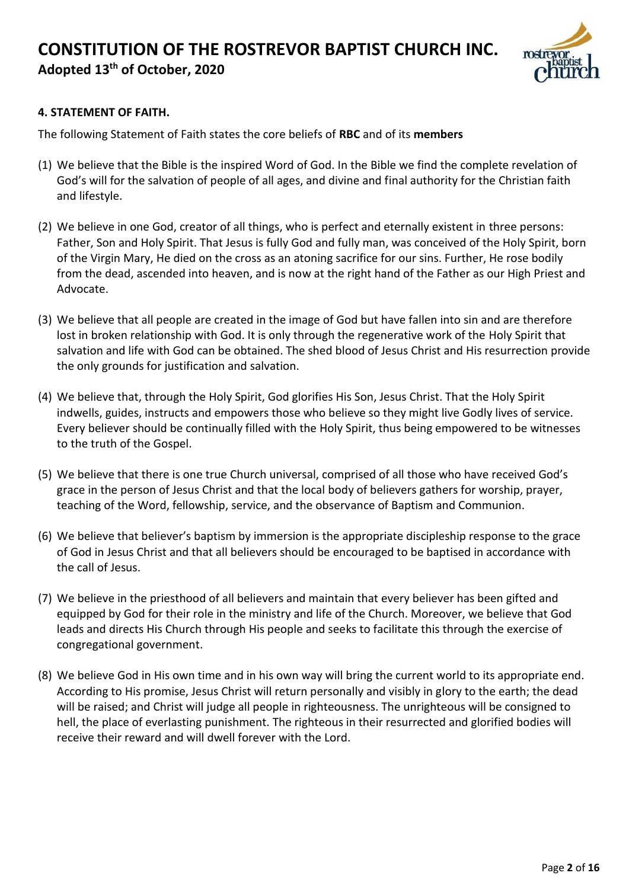

#### **4. STATEMENT OF FAITH.**

The following Statement of Faith states the core beliefs of **RBC** and of its **members** 

- (1) We believe that the Bible is the inspired Word of God. In the Bible we find the complete revelation of God's will for the salvation of people of all ages, and divine and final authority for the Christian faith and lifestyle.
- (2) We believe in one God, creator of all things, who is perfect and eternally existent in three persons: Father, Son and Holy Spirit. That Jesus is fully God and fully man, was conceived of the Holy Spirit, born of the Virgin Mary, He died on the cross as an atoning sacrifice for our sins. Further, He rose bodily from the dead, ascended into heaven, and is now at the right hand of the Father as our High Priest and Advocate.
- (3) We believe that all people are created in the image of God but have fallen into sin and are therefore lost in broken relationship with God. It is only through the regenerative work of the Holy Spirit that salvation and life with God can be obtained. The shed blood of Jesus Christ and His resurrection provide the only grounds for justification and salvation.
- (4) We believe that, through the Holy Spirit, God glorifies His Son, Jesus Christ. That the Holy Spirit indwells, guides, instructs and empowers those who believe so they might live Godly lives of service. Every believer should be continually filled with the Holy Spirit, thus being empowered to be witnesses to the truth of the Gospel.
- (5) We believe that there is one true Church universal, comprised of all those who have received God's grace in the person of Jesus Christ and that the local body of believers gathers for worship, prayer, teaching of the Word, fellowship, service, and the observance of Baptism and Communion.
- (6) We believe that believer's baptism by immersion is the appropriate discipleship response to the grace of God in Jesus Christ and that all believers should be encouraged to be baptised in accordance with the call of Jesus.
- (7) We believe in the priesthood of all believers and maintain that every believer has been gifted and equipped by God for their role in the ministry and life of the Church. Moreover, we believe that God leads and directs His Church through His people and seeks to facilitate this through the exercise of congregational government.
- (8) We believe God in His own time and in his own way will bring the current world to its appropriate end. According to His promise, Jesus Christ will return personally and visibly in glory to the earth; the dead will be raised; and Christ will judge all people in righteousness. The unrighteous will be consigned to hell, the place of everlasting punishment. The righteous in their resurrected and glorified bodies will receive their reward and will dwell forever with the Lord.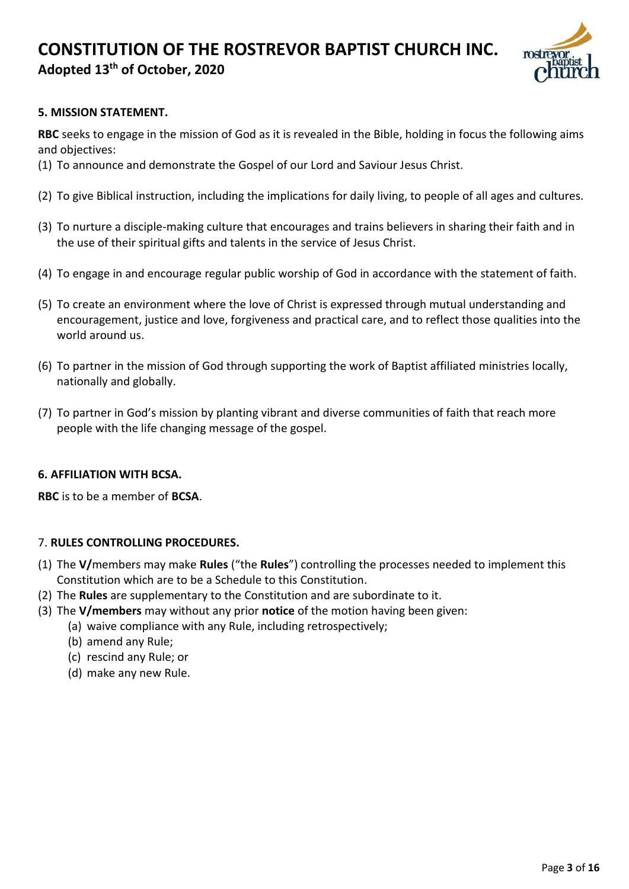

#### **5. MISSION STATEMENT.**

**RBC** seeks to engage in the mission of God as it is revealed in the Bible, holding in focus the following aims and objectives:

- (1) To announce and demonstrate the Gospel of our Lord and Saviour Jesus Christ.
- (2) To give Biblical instruction, including the implications for daily living, to people of all ages and cultures.
- (3) To nurture a disciple-making culture that encourages and trains believers in sharing their faith and in the use of their spiritual gifts and talents in the service of Jesus Christ.
- (4) To engage in and encourage regular public worship of God in accordance with the statement of faith.
- (5) To create an environment where the love of Christ is expressed through mutual understanding and encouragement, justice and love, forgiveness and practical care, and to reflect those qualities into the world around us.
- (6) To partner in the mission of God through supporting the work of Baptist affiliated ministries locally, nationally and globally.
- (7) To partner in God's mission by planting vibrant and diverse communities of faith that reach more people with the life changing message of the gospel.

#### **6. AFFILIATION WITH BCSA.**

**RBC** is to be a member of **BCSA**.

#### 7. **RULES CONTROLLING PROCEDURES.**

- (1) The **V/**members may make **Rules** ("the **Rules**") controlling the processes needed to implement this Constitution which are to be a Schedule to this Constitution.
- (2) The **Rules** are supplementary to the Constitution and are subordinate to it.
- (3) The **V/members** may without any prior **notice** of the motion having been given:
	- (a) waive compliance with any Rule, including retrospectively;
		- (b) amend any Rule;
		- (c) rescind any Rule; or
		- (d) make any new Rule.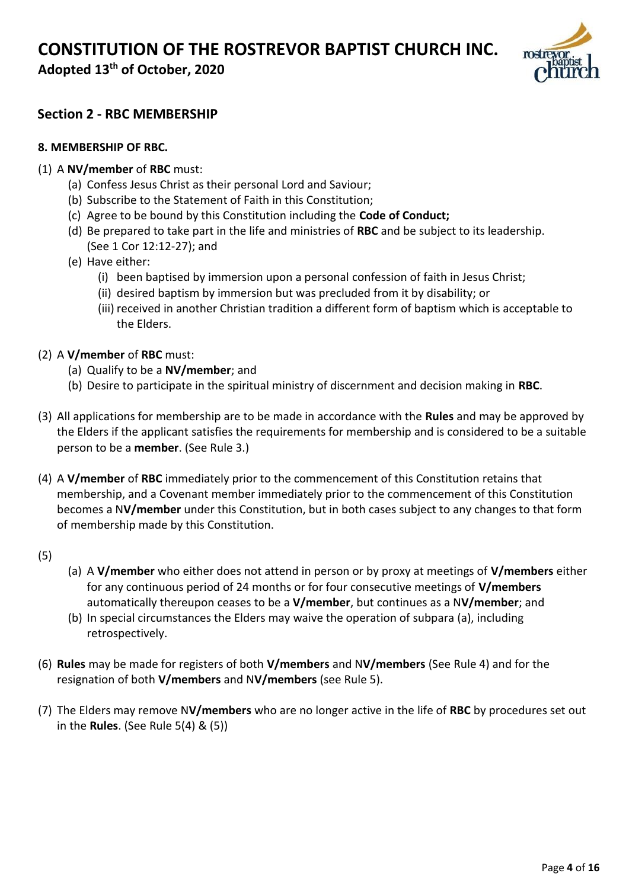**Adopted 13th of October, 2020**



### **Section 2 - RBC MEMBERSHIP**

#### **8. MEMBERSHIP OF RBC.**

#### (1) A **NV/member** of **RBC** must:

- (a) Confess Jesus Christ as their personal Lord and Saviour;
- (b) Subscribe to the Statement of Faith in this Constitution;
- (c) Agree to be bound by this Constitution including the **Code of Conduct;**
- (d) Be prepared to take part in the life and ministries of **RBC** and be subject to its leadership. (See 1 Cor 12:12-27); and
- (e) Have either:
	- (i) been baptised by immersion upon a personal confession of faith in Jesus Christ;
	- (ii) desired baptism by immersion but was precluded from it by disability; or
	- (iii) received in another Christian tradition a different form of baptism which is acceptable to the Elders.

#### (2) A **V/member** of **RBC** must:

- (a) Qualify to be a **NV/member**; and
- (b) Desire to participate in the spiritual ministry of discernment and decision making in **RBC**.
- (3) All applications for membership are to be made in accordance with the **Rules** and may be approved by the Elders if the applicant satisfies the requirements for membership and is considered to be a suitable person to be a **member**. (See Rule 3.)
- (4) A **V/member** of **RBC** immediately prior to the commencement of this Constitution retains that membership, and a Covenant member immediately prior to the commencement of this Constitution becomes a N**V/member** under this Constitution, but in both cases subject to any changes to that form of membership made by this Constitution.
- (5)
- (a) A **V/member** who either does not attend in person or by proxy at meetings of **V/members** either for any continuous period of 24 months or for four consecutive meetings of **V/members**  automatically thereupon ceases to be a **V/member**, but continues as a N**V/member**; and
- (b) In special circumstances the Elders may waive the operation of subpara (a), including retrospectively.
- (6) **Rules** may be made for registers of both **V/members** and N**V/members** (See Rule 4) and for the resignation of both **V/members** and N**V/members** (see Rule 5).
- (7) The Elders may remove N**V/members** who are no longer active in the life of **RBC** by procedures set out in the **Rules**. (See Rule 5(4) & (5))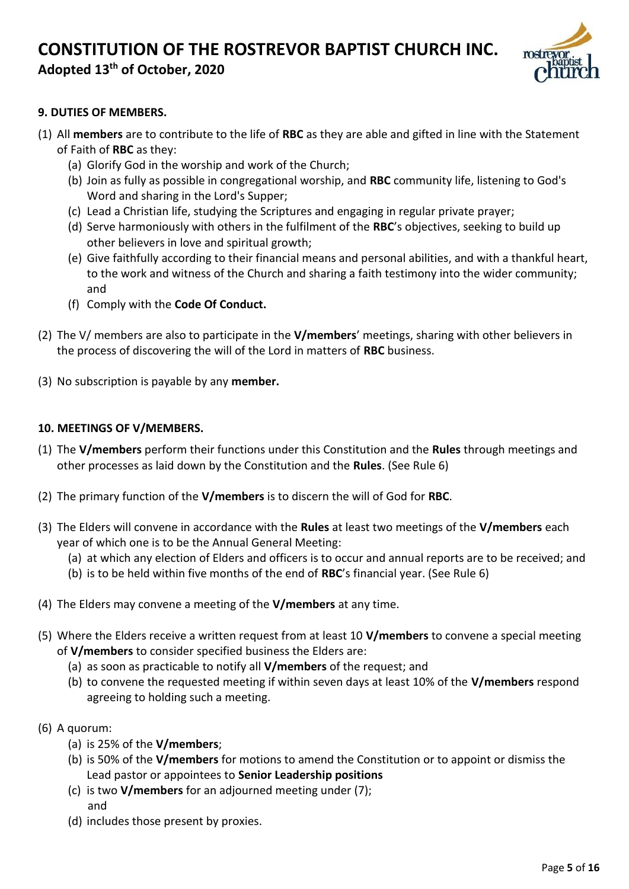## **CONSTITUTION OF THE ROSTREVOR BAPTIST CHURCH INC.**

## **Adopted 13th of October, 2020**



#### **9. DUTIES OF MEMBERS.**

- (1) All **members** are to contribute to the life of **RBC** as they are able and gifted in line with the Statement of Faith of **RBC** as they:
	- (a) Glorify God in the worship and work of the Church;
	- (b) Join as fully as possible in congregational worship, and **RBC** community life, listening to God's Word and sharing in the Lord's Supper;
	- (c) Lead a Christian life, studying the Scriptures and engaging in regular private prayer;
	- (d) Serve harmoniously with others in the fulfilment of the **RBC**'s objectives, seeking to build up other believers in love and spiritual growth;
	- (e) Give faithfully according to their financial means and personal abilities, and with a thankful heart, to the work and witness of the Church and sharing a faith testimony into the wider community; and
	- (f) Comply with the **Code Of Conduct.**
- (2) The V/ members are also to participate in the **V/members**' meetings, sharing with other believers in the process of discovering the will of the Lord in matters of **RBC** business.
- (3) No subscription is payable by any **member.**

#### **10. MEETINGS OF V/MEMBERS.**

- (1) The **V/members** perform their functions under this Constitution and the **Rules** through meetings and other processes as laid down by the Constitution and the **Rules**. (See Rule 6)
- (2) The primary function of the **V/members** is to discern the will of God for **RBC**.
- (3) The Elders will convene in accordance with the **Rules** at least two meetings of the **V/members** each year of which one is to be the Annual General Meeting:
	- (a) at which any election of Elders and officers is to occur and annual reports are to be received; and
	- (b) is to be held within five months of the end of **RBC**'s financial year. (See Rule 6)
- (4) The Elders may convene a meeting of the **V/members** at any time.
- (5) Where the Elders receive a written request from at least 10 **V/members** to convene a special meeting of **V/members** to consider specified business the Elders are:
	- (a) as soon as practicable to notify all **V/members** of the request; and
	- (b) to convene the requested meeting if within seven days at least 10% of the **V/members** respond agreeing to holding such a meeting.
- (6) A quorum:
	- (a) is 25% of the **V/members**;
	- (b) is 50% of the **V/members** for motions to amend the Constitution or to appoint or dismiss the Lead pastor or appointees to **Senior Leadership positions**
	- (c) is two **V/members** for an adjourned meeting under (7); and
	- (d) includes those present by proxies.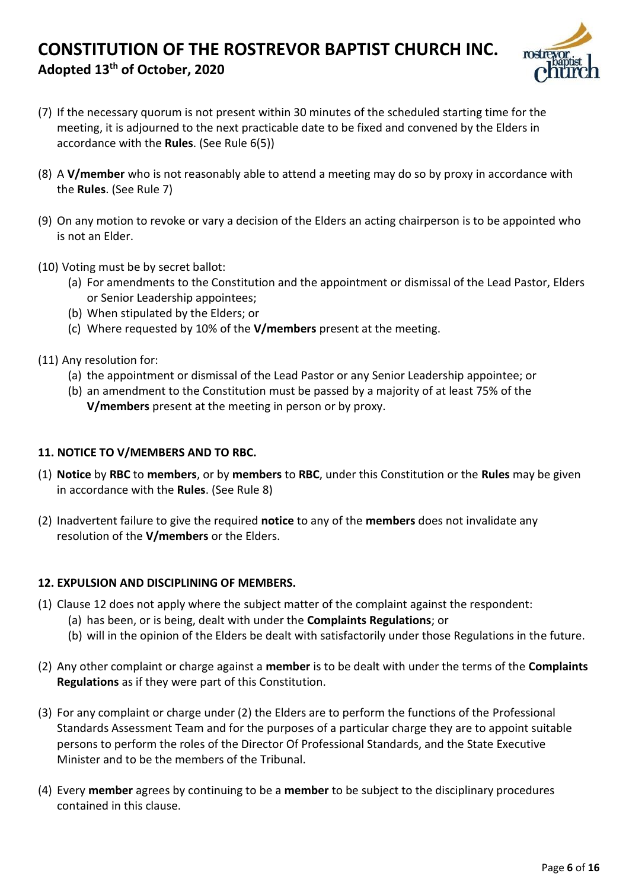

- (7) If the necessary quorum is not present within 30 minutes of the scheduled starting time for the meeting, it is adjourned to the next practicable date to be fixed and convened by the Elders in accordance with the **Rules**. (See Rule 6(5))
- (8) A **V/member** who is not reasonably able to attend a meeting may do so by proxy in accordance with the **Rules**. (See Rule 7)
- (9) On any motion to revoke or vary a decision of the Elders an acting chairperson is to be appointed who is not an Elder.
- (10) Voting must be by secret ballot:
	- (a) For amendments to the Constitution and the appointment or dismissal of the Lead Pastor, Elders or Senior Leadership appointees;
	- (b) When stipulated by the Elders; or
	- (c) Where requested by 10% of the **V/members** present at the meeting.
- (11) Any resolution for:
	- (a) the appointment or dismissal of the Lead Pastor or any Senior Leadership appointee; or
	- (b) an amendment to the Constitution must be passed by a majority of at least 75% of the **V/members** present at the meeting in person or by proxy.

#### **11. NOTICE TO V/MEMBERS AND TO RBC.**

- (1) **Notice** by **RBC** to **members**, or by **members** to **RBC**, under this Constitution or the **Rules** may be given in accordance with the **Rules**. (See Rule 8)
- (2) Inadvertent failure to give the required **notice** to any of the **members** does not invalidate any resolution of the **V/members** or the Elders.

#### **12. EXPULSION AND DISCIPLINING OF MEMBERS.**

- (1) Clause 12 does not apply where the subject matter of the complaint against the respondent:
	- (a) has been, or is being, dealt with under the **Complaints Regulations**; or
	- (b) will in the opinion of the Elders be dealt with satisfactorily under those Regulations in the future.
- (2) Any other complaint or charge against a **member** is to be dealt with under the terms of the **Complaints Regulations** as if they were part of this Constitution.
- (3) For any complaint or charge under (2) the Elders are to perform the functions of the Professional Standards Assessment Team and for the purposes of a particular charge they are to appoint suitable persons to perform the roles of the Director Of Professional Standards, and the State Executive Minister and to be the members of the Tribunal.
- (4) Every **member** agrees by continuing to be a **member** to be subject to the disciplinary procedures contained in this clause.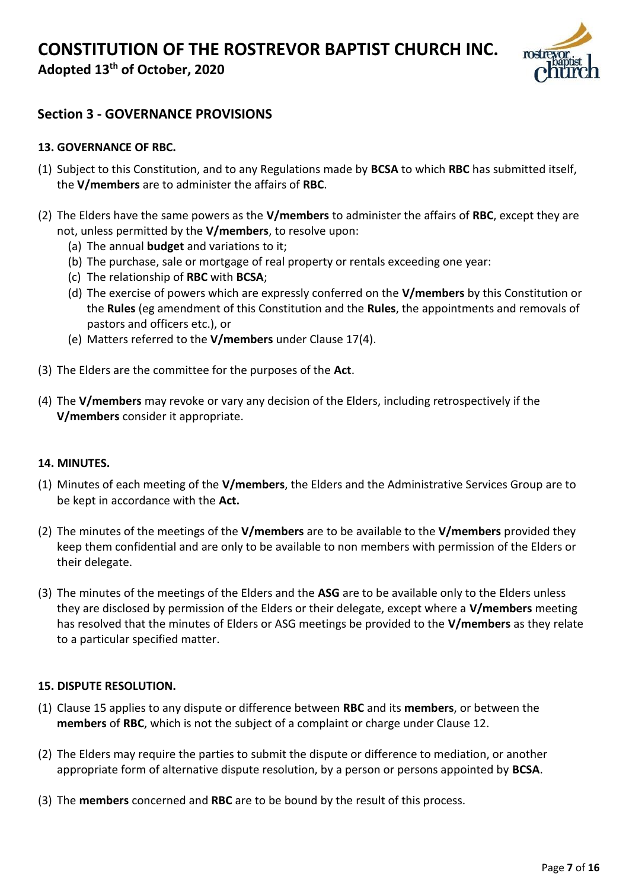**Adopted 13th of October, 2020**



### **Section 3 - GOVERNANCE PROVISIONS**

#### **13. GOVERNANCE OF RBC.**

- (1) Subject to this Constitution, and to any Regulations made by **BCSA** to which **RBC** has submitted itself, the **V/members** are to administer the affairs of **RBC**.
- (2) The Elders have the same powers as the **V/members** to administer the affairs of **RBC**, except they are not, unless permitted by the **V/members**, to resolve upon:
	- (a) The annual **budget** and variations to it;
	- (b) The purchase, sale or mortgage of real property or rentals exceeding one year:
	- (c) The relationship of **RBC** with **BCSA**;
	- (d) The exercise of powers which are expressly conferred on the **V/members** by this Constitution or the **Rules** (eg amendment of this Constitution and the **Rules**, the appointments and removals of pastors and officers etc.), or
	- (e) Matters referred to the **V/members** under Clause 17(4).
- (3) The Elders are the committee for the purposes of the **Act**.
- (4) The **V/members** may revoke or vary any decision of the Elders, including retrospectively if the **V/members** consider it appropriate.

#### **14. MINUTES.**

- (1) Minutes of each meeting of the **V/members**, the Elders and the Administrative Services Group are to be kept in accordance with the **Act.**
- (2) The minutes of the meetings of the **V/members** are to be available to the **V/members** provided they keep them confidential and are only to be available to non members with permission of the Elders or their delegate.
- (3) The minutes of the meetings of the Elders and the **ASG** are to be available only to the Elders unless they are disclosed by permission of the Elders or their delegate, except where a **V/members** meeting has resolved that the minutes of Elders or ASG meetings be provided to the **V/members** as they relate to a particular specified matter.

#### **15. DISPUTE RESOLUTION.**

- (1) Clause 15 applies to any dispute or difference between **RBC** and its **members**, or between the **members** of **RBC**, which is not the subject of a complaint or charge under Clause 12.
- (2) The Elders may require the parties to submit the dispute or difference to mediation, or another appropriate form of alternative dispute resolution, by a person or persons appointed by **BCSA**.
- (3) The **members** concerned and **RBC** are to be bound by the result of this process.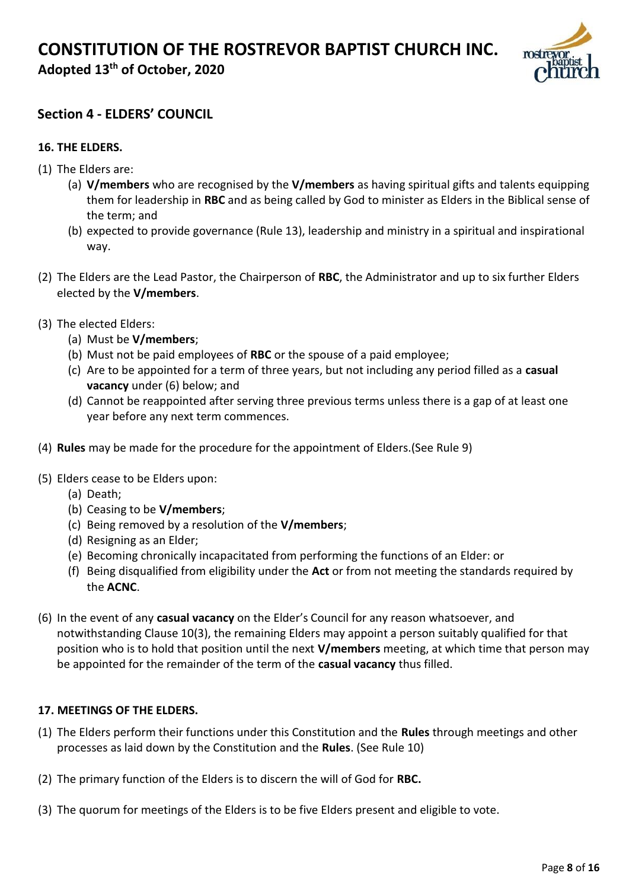**Adopted 13th of October, 2020**



### **Section 4 - ELDERS' COUNCIL**

#### **16. THE ELDERS.**

- (1) The Elders are:
	- (a) **V/members** who are recognised by the **V/members** as having spiritual gifts and talents equipping them for leadership in **RBC** and as being called by God to minister as Elders in the Biblical sense of the term; and
	- (b) expected to provide governance (Rule 13), leadership and ministry in a spiritual and inspirational way.
- (2) The Elders are the Lead Pastor, the Chairperson of **RBC**, the Administrator and up to six further Elders elected by the **V/members**.
- (3) The elected Elders:
	- (a) Must be **V/members**;
	- (b) Must not be paid employees of **RBC** or the spouse of a paid employee;
	- (c) Are to be appointed for a term of three years, but not including any period filled as a **casual vacancy** under (6) below; and
	- (d) Cannot be reappointed after serving three previous terms unless there is a gap of at least one year before any next term commences.
- (4) **Rules** may be made for the procedure for the appointment of Elders.(See Rule 9)
- (5) Elders cease to be Elders upon:
	- (a) Death;
	- (b) Ceasing to be **V/members**;
	- (c) Being removed by a resolution of the **V/members**;
	- (d) Resigning as an Elder;
	- (e) Becoming chronically incapacitated from performing the functions of an Elder: or
	- (f) Being disqualified from eligibility under the **Act** or from not meeting the standards required by the **ACNC**.
- (6) In the event of any **casual vacancy** on the Elder's Council for any reason whatsoever, and notwithstanding Clause 10(3), the remaining Elders may appoint a person suitably qualified for that position who is to hold that position until the next **V/members** meeting, at which time that person may be appointed for the remainder of the term of the **casual vacancy** thus filled.

#### **17. MEETINGS OF THE ELDERS.**

- (1) The Elders perform their functions under this Constitution and the **Rules** through meetings and other processes as laid down by the Constitution and the **Rules**. (See Rule 10)
- (2) The primary function of the Elders is to discern the will of God for **RBC.**
- (3) The quorum for meetings of the Elders is to be five Elders present and eligible to vote.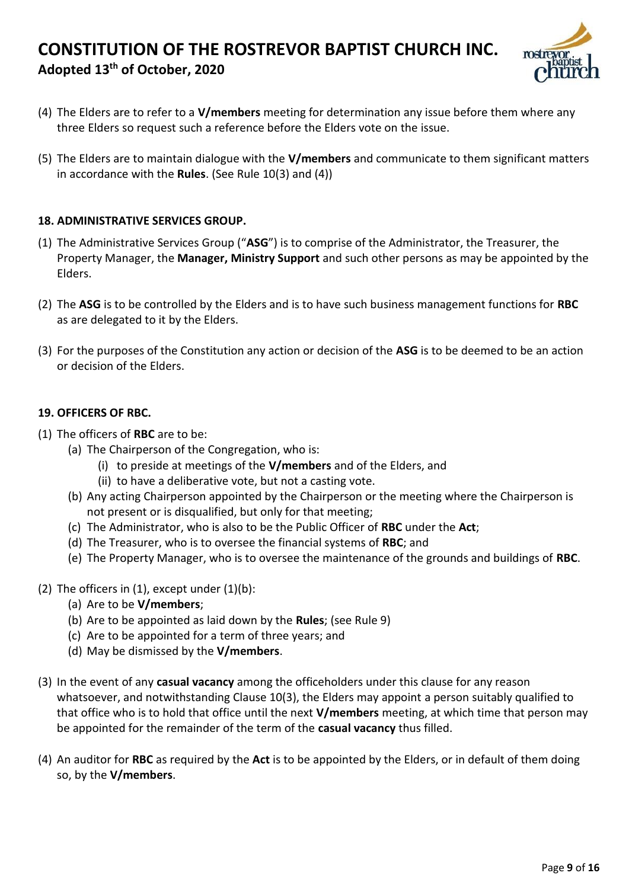

- (4) The Elders are to refer to a **V/members** meeting for determination any issue before them where any three Elders so request such a reference before the Elders vote on the issue.
- (5) The Elders are to maintain dialogue with the **V/members** and communicate to them significant matters in accordance with the **Rules**. (See Rule 10(3) and (4))

#### **18. ADMINISTRATIVE SERVICES GROUP.**

- (1) The Administrative Services Group ("**ASG**") is to comprise of the Administrator, the Treasurer, the Property Manager, the **Manager, Ministry Support** and such other persons as may be appointed by the Elders.
- (2) The **ASG** is to be controlled by the Elders and is to have such business management functions for **RBC**  as are delegated to it by the Elders.
- (3) For the purposes of the Constitution any action or decision of the **ASG** is to be deemed to be an action or decision of the Elders.

#### **19. OFFICERS OF RBC.**

- (1) The officers of **RBC** are to be:
	- (a) The Chairperson of the Congregation, who is:
		- (i) to preside at meetings of the **V/members** and of the Elders, and
		- (ii) to have a deliberative vote, but not a casting vote.
	- (b) Any acting Chairperson appointed by the Chairperson or the meeting where the Chairperson is not present or is disqualified, but only for that meeting;
	- (c) The Administrator, who is also to be the Public Officer of **RBC** under the **Act**;
	- (d) The Treasurer, who is to oversee the financial systems of **RBC**; and
	- (e) The Property Manager, who is to oversee the maintenance of the grounds and buildings of **RBC**.
- (2) The officers in  $(1)$ , except under  $(1)(b)$ :
	- (a) Are to be **V/members**;
	- (b) Are to be appointed as laid down by the **Rules**; (see Rule 9)
	- (c) Are to be appointed for a term of three years; and
	- (d) May be dismissed by the **V/members**.
- (3) In the event of any **casual vacancy** among the officeholders under this clause for any reason whatsoever, and notwithstanding Clause 10(3), the Elders may appoint a person suitably qualified to that office who is to hold that office until the next **V/members** meeting, at which time that person may be appointed for the remainder of the term of the **casual vacancy** thus filled.
- (4) An auditor for **RBC** as required by the **Act** is to be appointed by the Elders, or in default of them doing so, by the **V/members**.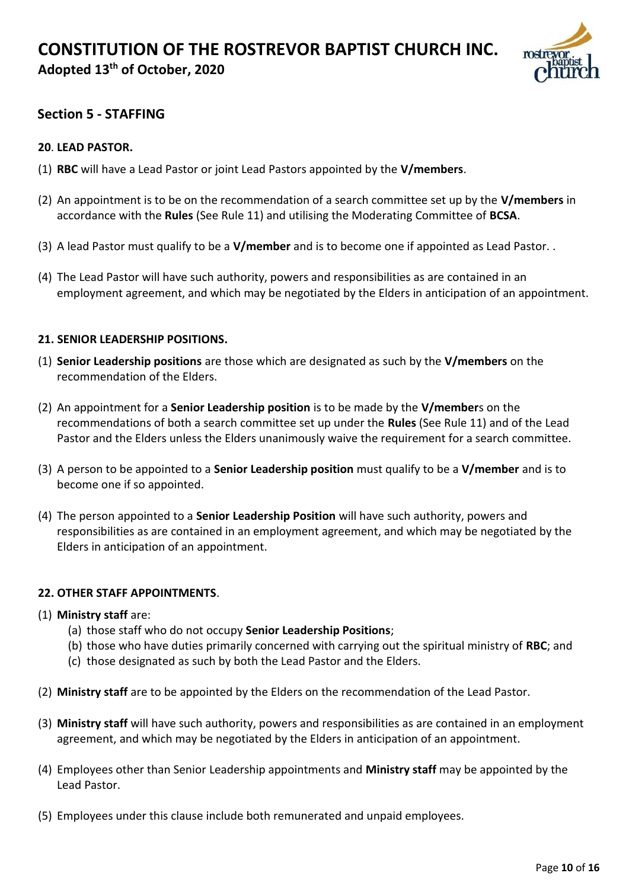

### **Section 5 - STAFFING**

#### **20**. **LEAD PASTOR.**

- (1) **RBC** will have a Lead Pastor or joint Lead Pastors appointed by the **V/members**.
- (2) An appointment is to be on the recommendation of a search committee set up by the **V/members** in accordance with the **Rules** (See Rule 11) and utilising the Moderating Committee of **BCSA**.
- (3) A lead Pastor must qualify to be a **V/member** and is to become one if appointed as Lead Pastor. .
- (4) The Lead Pastor will have such authority, powers and responsibilities as are contained in an employment agreement, and which may be negotiated by the Elders in anticipation of an appointment.

#### **21. SENIOR LEADERSHIP POSITIONS.**

- (1) **Senior Leadership positions** are those which are designated as such by the **V/members** on the recommendation of the Elders.
- (2) An appointment for a **Senior Leadership position** is to be made by the **V/member**s on the recommendations of both a search committee set up under the **Rules** (See Rule 11) and of the Lead Pastor and the Elders unless the Elders unanimously waive the requirement for a search committee.
- (3) A person to be appointed to a **Senior Leadership position** must qualify to be a **V/member** and is to become one if so appointed.
- (4) The person appointed to a **Senior Leadership Position** will have such authority, powers and responsibilities as are contained in an employment agreement, and which may be negotiated by the Elders in anticipation of an appointment.

#### **22. OTHER STAFF APPOINTMENTS**.

#### (1) **Ministry staff** are:

- (a) those staff who do not occupy **Senior Leadership Positions**;
- (b) those who have duties primarily concerned with carrying out the spiritual ministry of **RBC**; and
- (c) those designated as such by both the Lead Pastor and the Elders.
- (2) **Ministry staff** are to be appointed by the Elders on the recommendation of the Lead Pastor.
- (3) **Ministry staff** will have such authority, powers and responsibilities as are contained in an employment agreement, and which may be negotiated by the Elders in anticipation of an appointment.
- (4) Employees other than Senior Leadership appointments and **Ministry staff** may be appointed by the Lead Pastor.
- (5) Employees under this clause include both remunerated and unpaid employees.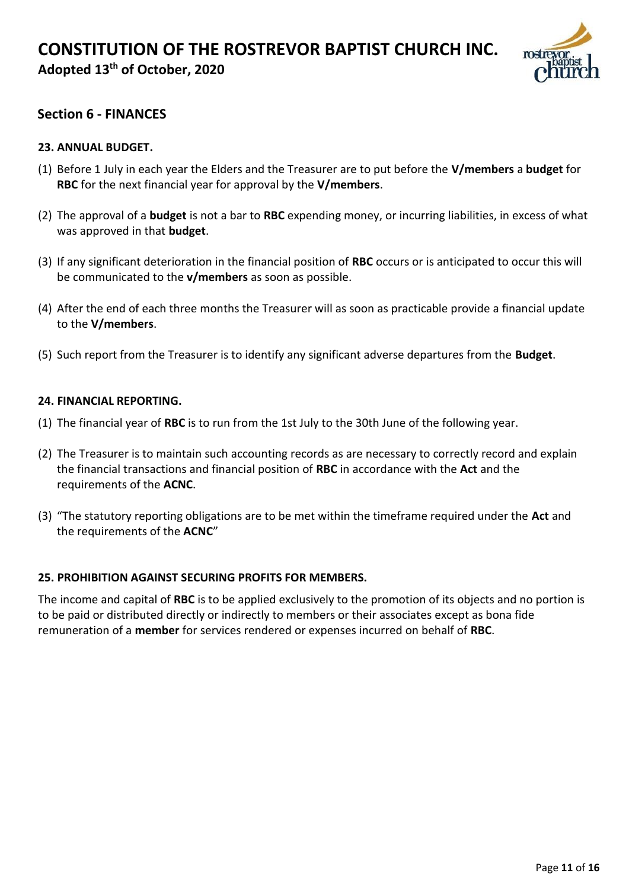

### **Section 6 - FINANCES**

#### **23. ANNUAL BUDGET.**

- (1) Before 1 July in each year the Elders and the Treasurer are to put before the **V/members** a **budget** for **RBC** for the next financial year for approval by the **V/members**.
- (2) The approval of a **budget** is not a bar to **RBC** expending money, or incurring liabilities, in excess of what was approved in that **budget**.
- (3) If any significant deterioration in the financial position of **RBC** occurs or is anticipated to occur this will be communicated to the **v/members** as soon as possible.
- (4) After the end of each three months the Treasurer will as soon as practicable provide a financial update to the **V/members**.
- (5) Such report from the Treasurer is to identify any significant adverse departures from the **Budget**.

#### **24. FINANCIAL REPORTING.**

- (1) The financial year of **RBC** is to run from the 1st July to the 30th June of the following year.
- (2) The Treasurer is to maintain such accounting records as are necessary to correctly record and explain the financial transactions and financial position of **RBC** in accordance with the **Act** and the requirements of the **ACNC**.
- (3) "The statutory reporting obligations are to be met within the timeframe required under the **Act** and the requirements of the **ACNC**"

#### **25. PROHIBITION AGAINST SECURING PROFITS FOR MEMBERS.**

The income and capital of **RBC** is to be applied exclusively to the promotion of its objects and no portion is to be paid or distributed directly or indirectly to members or their associates except as bona fide remuneration of a **member** for services rendered or expenses incurred on behalf of **RBC**.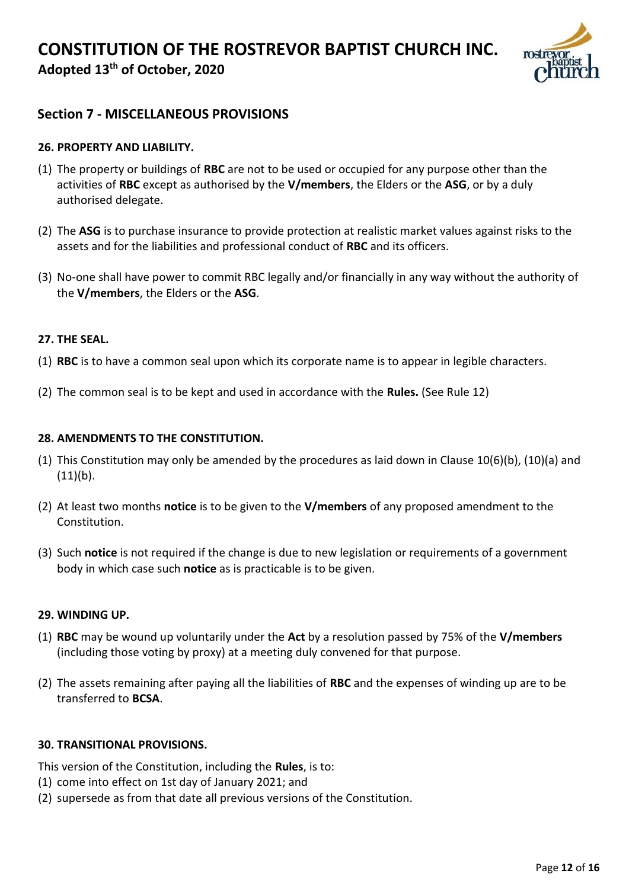

### **Section 7 - MISCELLANEOUS PROVISIONS**

#### **26. PROPERTY AND LIABILITY.**

- (1) The property or buildings of **RBC** are not to be used or occupied for any purpose other than the activities of **RBC** except as authorised by the **V/members**, the Elders or the **ASG**, or by a duly authorised delegate.
- (2) The **ASG** is to purchase insurance to provide protection at realistic market values against risks to the assets and for the liabilities and professional conduct of **RBC** and its officers.
- (3) No-one shall have power to commit RBC legally and/or financially in any way without the authority of the **V/members**, the Elders or the **ASG**.

#### **27. THE SEAL.**

- (1) **RBC** is to have a common seal upon which its corporate name is to appear in legible characters.
- (2) The common seal is to be kept and used in accordance with the **Rules.** (See Rule 12)

#### **28. AMENDMENTS TO THE CONSTITUTION.**

- (1) This Constitution may only be amended by the procedures as laid down in Clause 10(6)(b), (10)(a) and  $(11)(b)$ .
- (2) At least two months **notice** is to be given to the **V/members** of any proposed amendment to the Constitution.
- (3) Such **notice** is not required if the change is due to new legislation or requirements of a government body in which case such **notice** as is practicable is to be given.

#### **29. WINDING UP.**

- (1) **RBC** may be wound up voluntarily under the **Act** by a resolution passed by 75% of the **V/members**  (including those voting by proxy) at a meeting duly convened for that purpose.
- (2) The assets remaining after paying all the liabilities of **RBC** and the expenses of winding up are to be transferred to **BCSA**.

#### **30. TRANSITIONAL PROVISIONS.**

This version of the Constitution, including the **Rules**, is to:

- (1) come into effect on 1st day of January 2021; and
- (2) supersede as from that date all previous versions of the Constitution.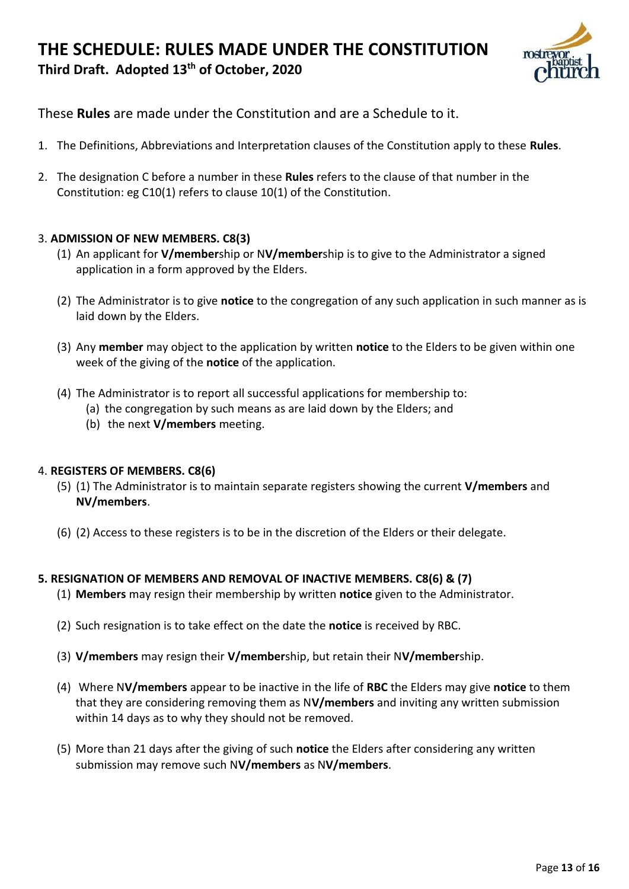## **THE SCHEDULE: RULES MADE UNDER THE CONSTITUTION Third Draft. Adopted 13th of October, 2020**



These **Rules** are made under the Constitution and are a Schedule to it.

- 1. The Definitions, Abbreviations and Interpretation clauses of the Constitution apply to these **Rules**.
- 2. The designation C before a number in these **Rules** refers to the clause of that number in the Constitution: eg C10(1) refers to clause 10(1) of the Constitution.

#### 3. **ADMISSION OF NEW MEMBERS. C8(3)**

- (1) An applicant for **V/member**ship or N**V/member**ship is to give to the Administrator a signed application in a form approved by the Elders.
- (2) The Administrator is to give **notice** to the congregation of any such application in such manner as is laid down by the Elders.
- (3) Any **member** may object to the application by written **notice** to the Elders to be given within one week of the giving of the **notice** of the application.
- (4) The Administrator is to report all successful applications for membership to:
	- (a) the congregation by such means as are laid down by the Elders; and
	- (b) the next **V/members** meeting.

#### 4. **REGISTERS OF MEMBERS. C8(6)**

- (5) (1) The Administrator is to maintain separate registers showing the current **V/members** and **NV/members**.
- (6) (2) Access to these registers is to be in the discretion of the Elders or their delegate.

#### **5. RESIGNATION OF MEMBERS AND REMOVAL OF INACTIVE MEMBERS. C8(6) & (7)**

- (1) **Members** may resign their membership by written **notice** given to the Administrator.
- (2) Such resignation is to take effect on the date the **notice** is received by RBC.
- (3) **V/members** may resign their **V/member**ship, but retain their N**V/member**ship.
- (4) Where N**V/members** appear to be inactive in the life of **RBC** the Elders may give **notice** to them that they are considering removing them as N**V/members** and inviting any written submission within 14 days as to why they should not be removed.
- (5) More than 21 days after the giving of such **notice** the Elders after considering any written submission may remove such N**V/members** as N**V/members**.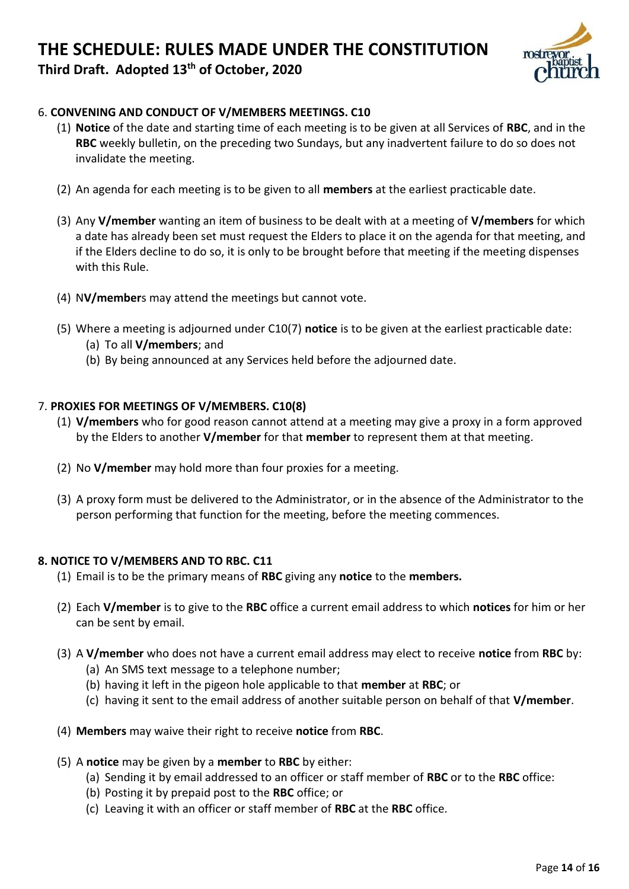# **THE SCHEDULE: RULES MADE UNDER THE CONSTITUTION**



**Third Draft. Adopted 13th of October, 2020**

#### 6. **CONVENING AND CONDUCT OF V/MEMBERS MEETINGS. C10**

- (1) **Notice** of the date and starting time of each meeting is to be given at all Services of **RBC**, and in the **RBC** weekly bulletin, on the preceding two Sundays, but any inadvertent failure to do so does not invalidate the meeting.
- (2) An agenda for each meeting is to be given to all **members** at the earliest practicable date.
- (3) Any **V/member** wanting an item of business to be dealt with at a meeting of **V/members** for which a date has already been set must request the Elders to place it on the agenda for that meeting, and if the Elders decline to do so, it is only to be brought before that meeting if the meeting dispenses with this Rule.
- (4) N**V/member**s may attend the meetings but cannot vote.
- (5) Where a meeting is adjourned under C10(7) **notice** is to be given at the earliest practicable date:
	- (a) To all **V/members**; and
	- (b) By being announced at any Services held before the adjourned date.

#### 7. **PROXIES FOR MEETINGS OF V/MEMBERS. C10(8)**

- (1) **V/members** who for good reason cannot attend at a meeting may give a proxy in a form approved by the Elders to another **V/member** for that **member** to represent them at that meeting.
- (2) No **V/member** may hold more than four proxies for a meeting.
- (3) A proxy form must be delivered to the Administrator, or in the absence of the Administrator to the person performing that function for the meeting, before the meeting commences.

#### **8. NOTICE TO V/MEMBERS AND TO RBC. C11**

- (1) Email is to be the primary means of **RBC** giving any **notice** to the **members.**
- (2) Each **V/member** is to give to the **RBC** office a current email address to which **notices** for him or her can be sent by email.
- (3) A **V/member** who does not have a current email address may elect to receive **notice** from **RBC** by:
	- (a) An SMS text message to a telephone number;
	- (b) having it left in the pigeon hole applicable to that **member** at **RBC**; or
	- (c) having it sent to the email address of another suitable person on behalf of that **V/member**.
- (4) **Members** may waive their right to receive **notice** from **RBC**.
- (5) A **notice** may be given by a **member** to **RBC** by either:
	- (a) Sending it by email addressed to an officer or staff member of **RBC** or to the **RBC** office:
	- (b) Posting it by prepaid post to the **RBC** office; or
	- (c) Leaving it with an officer or staff member of **RBC** at the **RBC** office.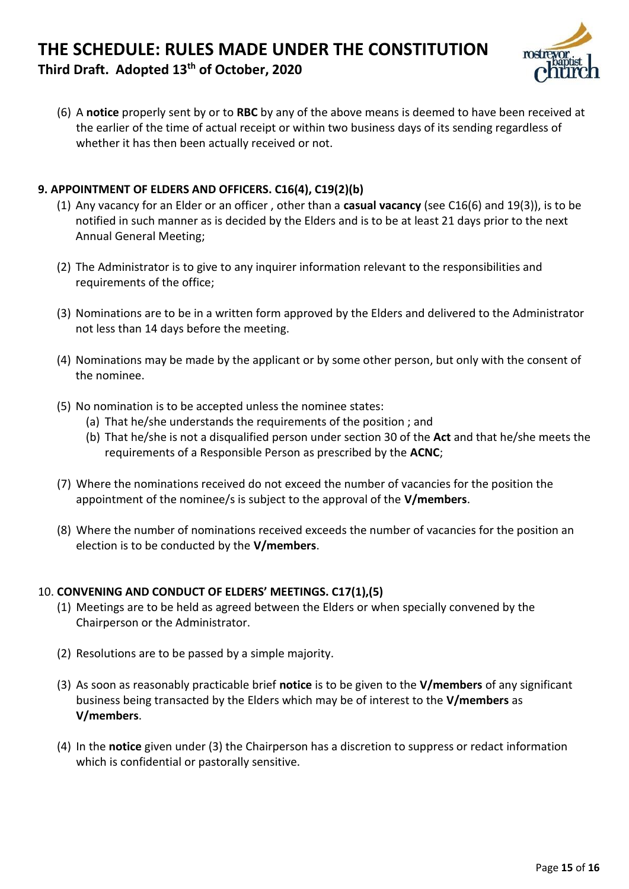## **THE SCHEDULE: RULES MADE UNDER THE CONSTITUTION Third Draft. Adopted 13th of October, 2020**



(6) A **notice** properly sent by or to **RBC** by any of the above means is deemed to have been received at the earlier of the time of actual receipt or within two business days of its sending regardless of whether it has then been actually received or not.

### **9. APPOINTMENT OF ELDERS AND OFFICERS. C16(4), C19(2)(b)**

- (1) Any vacancy for an Elder or an officer , other than a **casual vacancy** (see C16(6) and 19(3)), is to be notified in such manner as is decided by the Elders and is to be at least 21 days prior to the next Annual General Meeting;
- (2) The Administrator is to give to any inquirer information relevant to the responsibilities and requirements of the office;
- (3) Nominations are to be in a written form approved by the Elders and delivered to the Administrator not less than 14 days before the meeting.
- (4) Nominations may be made by the applicant or by some other person, but only with the consent of the nominee.
- (5) No nomination is to be accepted unless the nominee states:
	- (a) That he/she understands the requirements of the position ; and
		- (b) That he/she is not a disqualified person under section 30 of the **Act** and that he/she meets the requirements of a Responsible Person as prescribed by the **ACNC**;
- (7) Where the nominations received do not exceed the number of vacancies for the position the appointment of the nominee/s is subject to the approval of the **V/members**.
- (8) Where the number of nominations received exceeds the number of vacancies for the position an election is to be conducted by the **V/members**.

#### 10. **CONVENING AND CONDUCT OF ELDERS' MEETINGS. C17(1),(5)**

- (1) Meetings are to be held as agreed between the Elders or when specially convened by the Chairperson or the Administrator.
- (2) Resolutions are to be passed by a simple majority.
- (3) As soon as reasonably practicable brief **notice** is to be given to the **V/members** of any significant business being transacted by the Elders which may be of interest to the **V/members** as **V/members**.
- (4) In the **notice** given under (3) the Chairperson has a discretion to suppress or redact information which is confidential or pastorally sensitive.